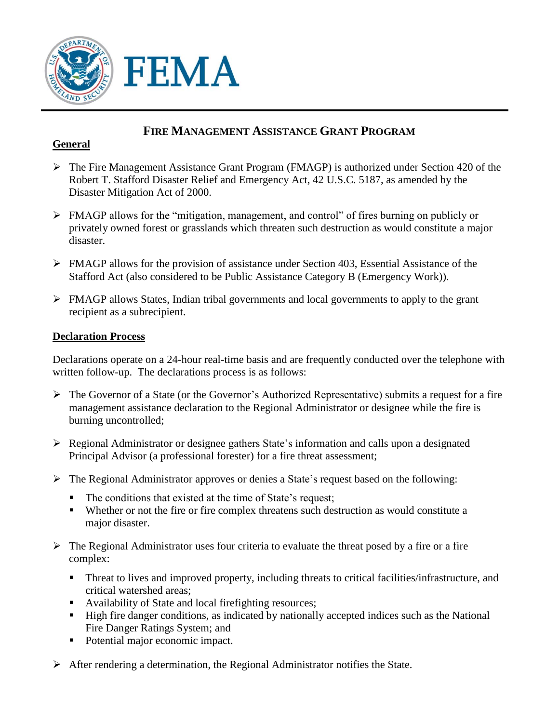

# **FIRE MANAGEMENT ASSISTANCE GRANT PROGRAM**

#### **General**

- $\triangleright$  The Fire Management Assistance Grant Program (FMAGP) is authorized under Section 420 of the Robert T. Stafford Disaster Relief and Emergency Act, 42 U.S.C. 5187, as amended by the Disaster Mitigation Act of 2000.
- FMAGP allows for the "mitigation, management, and control" of fires burning on publicly or privately owned forest or grasslands which threaten such destruction as would constitute a major disaster.
- $\triangleright$  FMAGP allows for the provision of assistance under Section 403, Essential Assistance of the Stafford Act (also considered to be Public Assistance Category B (Emergency Work)).
- FMAGP allows States, Indian tribal governments and local governments to apply to the grant recipient as a subrecipient.

#### **Declaration Process**

Declarations operate on a 24-hour real-time basis and are frequently conducted over the telephone with written follow-up. The declarations process is as follows:

- $\triangleright$  The Governor of a State (or the Governor's Authorized Representative) submits a request for a fire management assistance declaration to the Regional Administrator or designee while the fire is burning uncontrolled;
- $\triangleright$  Regional Administrator or designee gathers State's information and calls upon a designated Principal Advisor (a professional forester) for a fire threat assessment;
- $\triangleright$  The Regional Administrator approves or denies a State's request based on the following:
	- The conditions that existed at the time of State's request;
	- Whether or not the fire or fire complex threatens such destruction as would constitute a major disaster.
- $\triangleright$  The Regional Administrator uses four criteria to evaluate the threat posed by a fire or a fire complex:
	- **Threat to lives and improved property, including threats to critical facilities/infrastructure, and** critical watershed areas;
	- Availability of State and local firefighting resources;
	- High fire danger conditions, as indicated by nationally accepted indices such as the National Fire Danger Ratings System; and
	- Potential major economic impact.
- $\triangleright$  After rendering a determination, the Regional Administrator notifies the State.